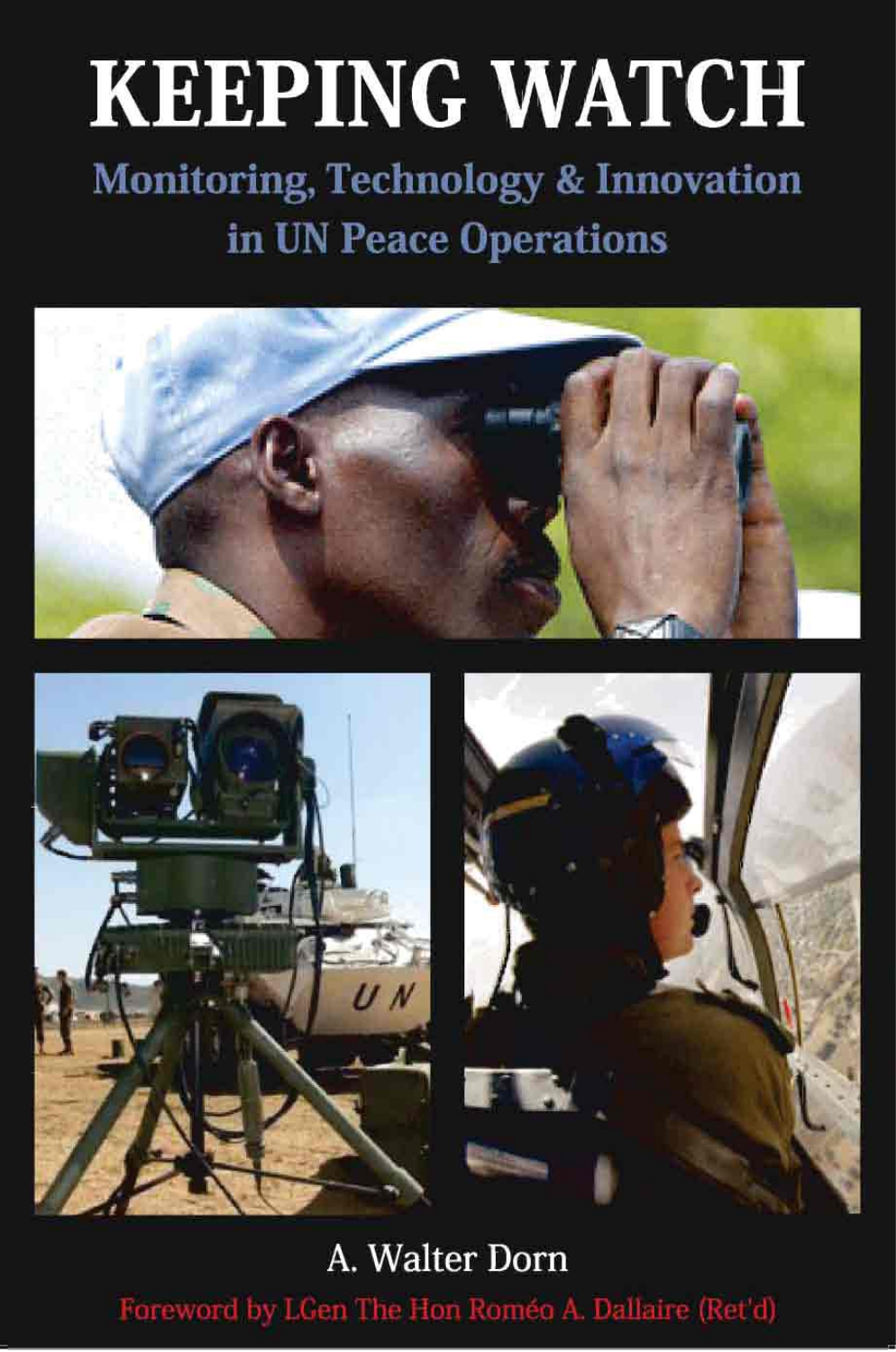# **KEEPING WATCH**

## **Monitoring, Technology & Innovation** in UN Peace Operations





A. Walter Dorn Foreword by LGen The Hon Roméo A. Dallaire (Ret'd)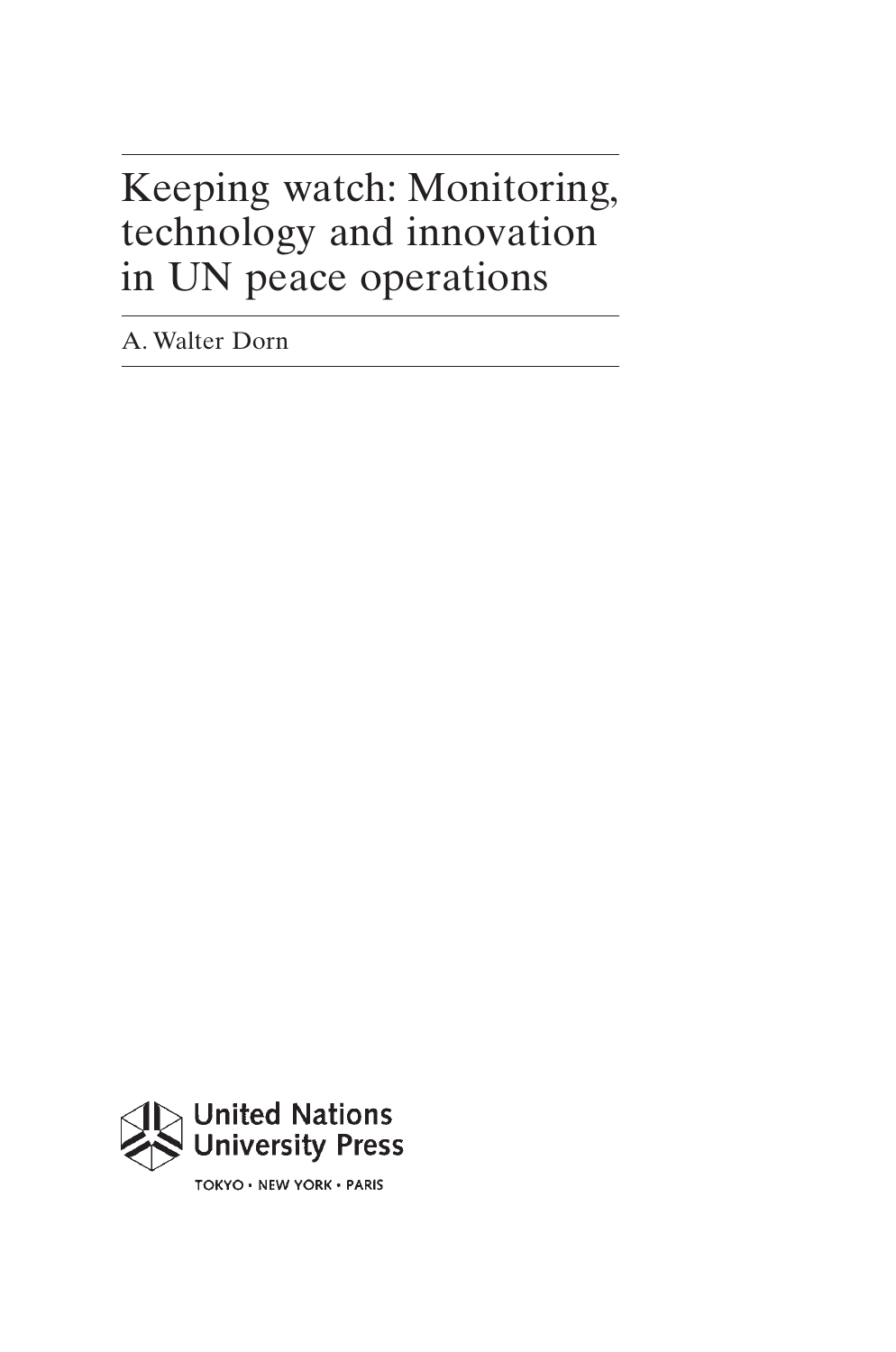## Keeping watch: Monitoring, technology and innovation in UN peace operations

A. Walter Dorn



TOKYO . NEW YORK . PARIS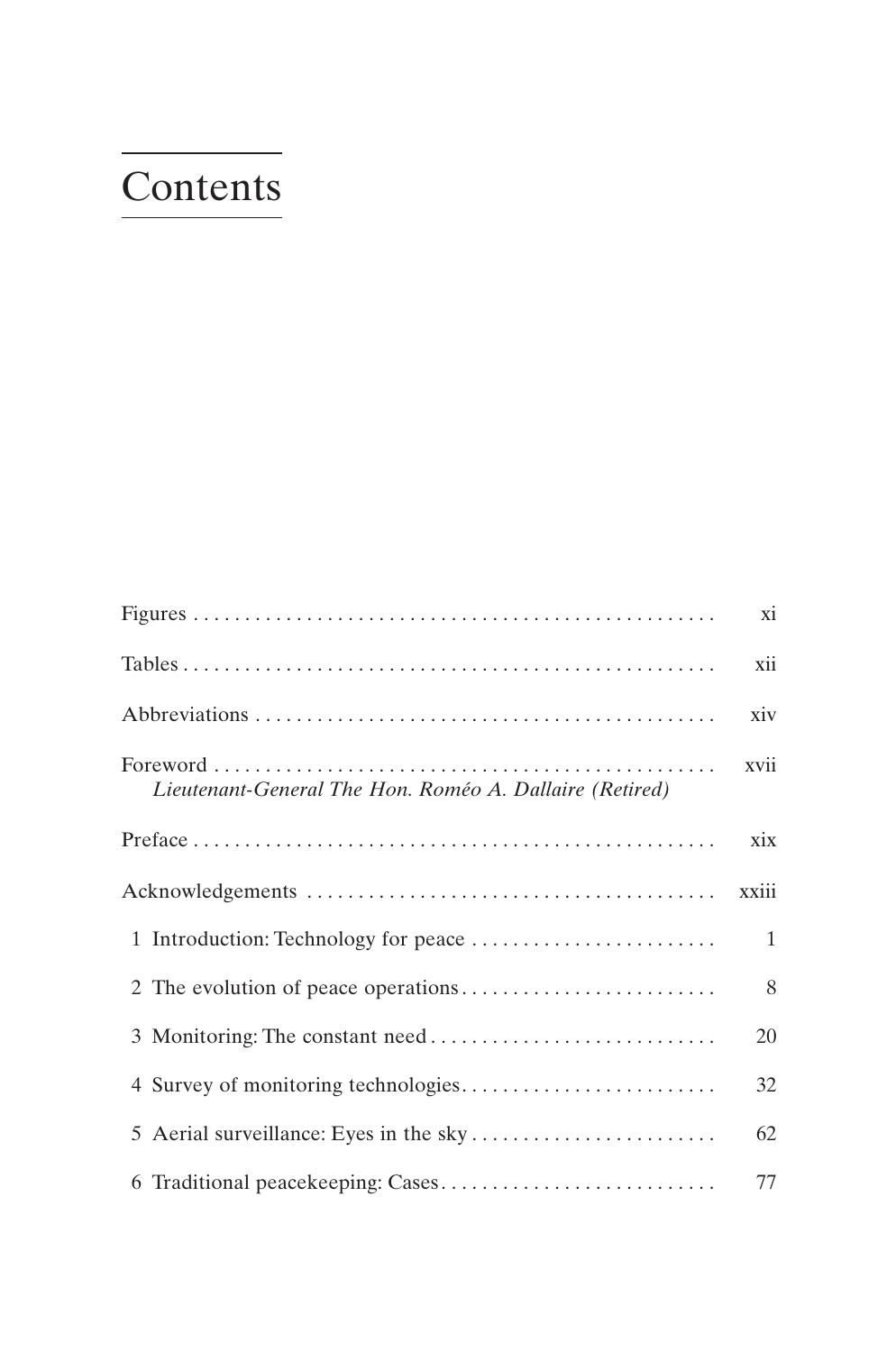## Contents

|                                                         | xi    |
|---------------------------------------------------------|-------|
|                                                         | xii   |
|                                                         | xiv   |
| Lieutenant-General The Hon. Roméo A. Dallaire (Retired) | xvii  |
|                                                         | xix   |
|                                                         | xxiii |
|                                                         | 1     |
|                                                         | 8     |
|                                                         | 20    |
|                                                         | 32    |
|                                                         | 62    |
|                                                         | 77    |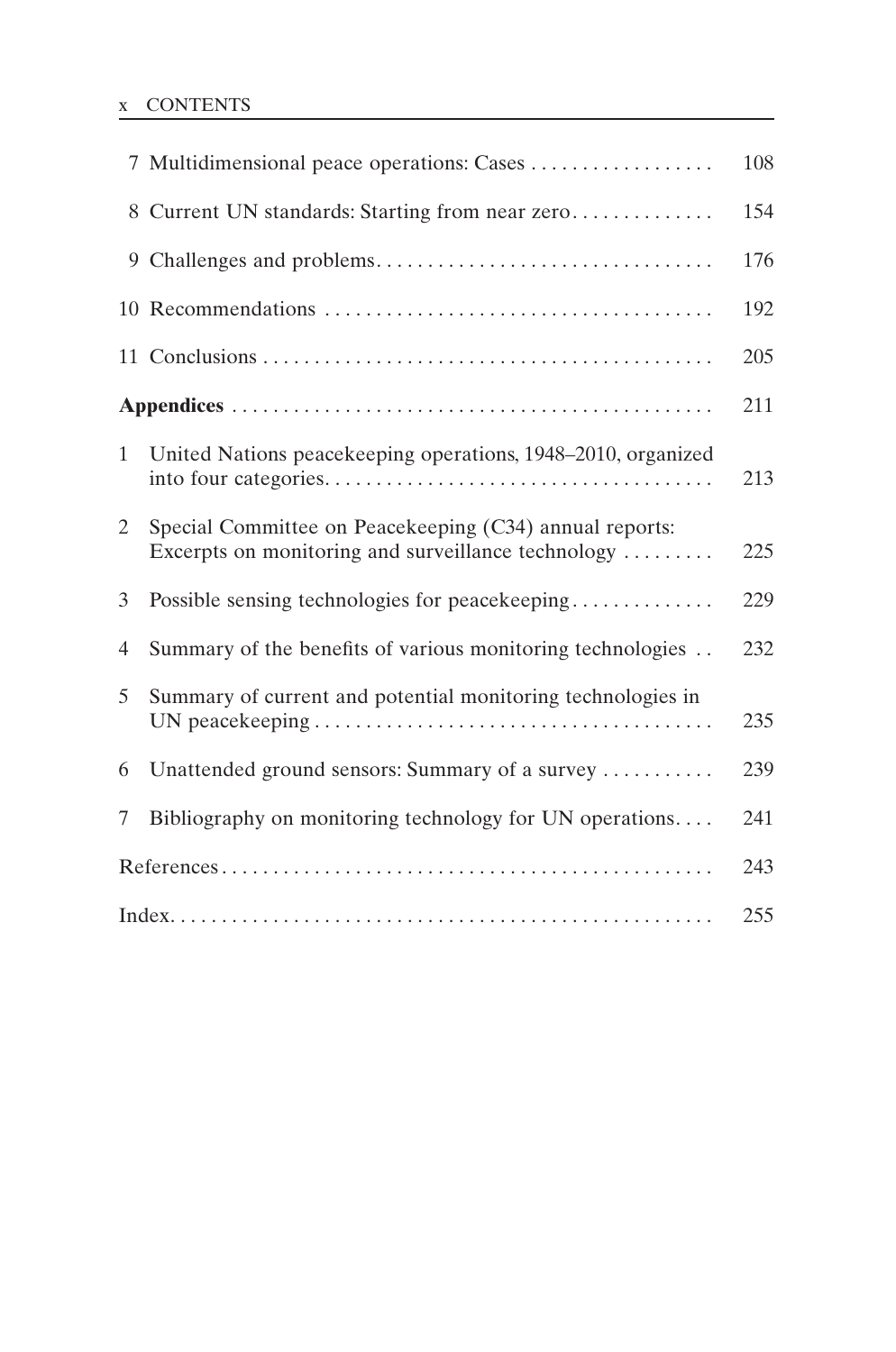#### x CONTENTS

|                | 7 Multidimensional peace operations: Cases                                                                    | 108 |
|----------------|---------------------------------------------------------------------------------------------------------------|-----|
|                | 8 Current UN standards: Starting from near zero                                                               | 154 |
|                |                                                                                                               | 176 |
|                |                                                                                                               | 192 |
|                |                                                                                                               | 205 |
|                |                                                                                                               | 211 |
| $\mathbf{1}$   | United Nations peacekeeping operations, 1948–2010, organized                                                  | 213 |
| $\overline{2}$ | Special Committee on Peacekeeping (C34) annual reports:<br>Excerpts on monitoring and surveillance technology | 225 |
| 3              | Possible sensing technologies for peacekeeping                                                                | 229 |
| $\overline{4}$ | Summary of the benefits of various monitoring technologies                                                    | 232 |
| 5              | Summary of current and potential monitoring technologies in                                                   | 235 |
| 6              | Unattended ground sensors: Summary of a survey                                                                | 239 |
| 7              | Bibliography on monitoring technology for UN operations                                                       | 241 |
|                |                                                                                                               | 243 |
|                |                                                                                                               | 255 |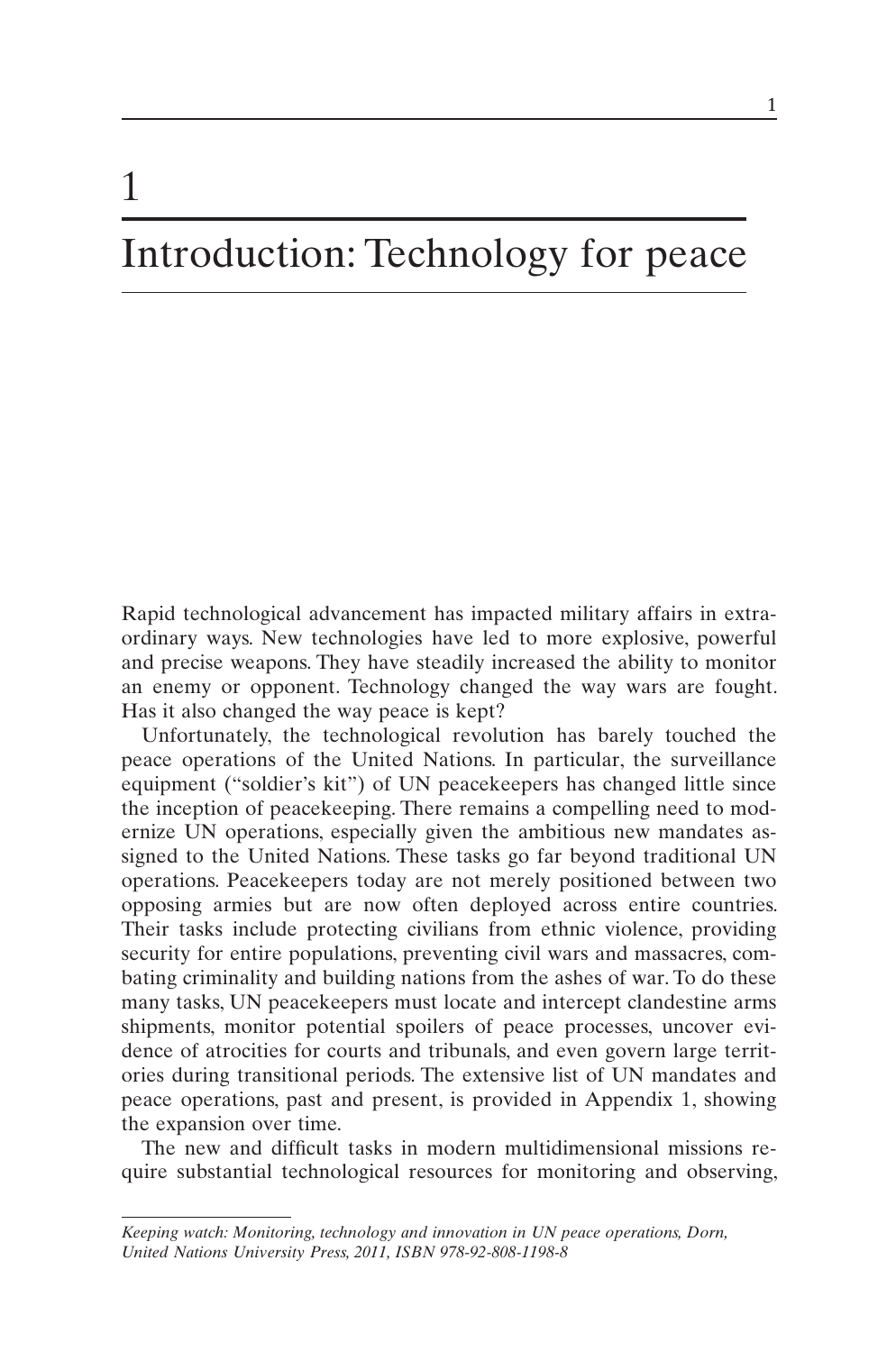## Introduction: Technology for peace

1

Rapid technological advancement has impacted military affairs in extraordinary ways. New technologies have led to more explosive, powerful and precise weapons. They have steadily increased the ability to monitor an enemy or opponent. Technology changed the way wars are fought. Has it also changed the way peace is kept?

Unfortunately, the technological revolution has barely touched the peace operations of the United Nations. In particular, the surveillance equipment ("soldier's kit") of UN peacekeepers has changed little since the inception of peacekeeping. There remains a compelling need to modernize UN operations, especially given the ambitious new mandates assigned to the United Nations. These tasks go far beyond traditional UN operations. Peacekeepers today are not merely positioned between two opposing armies but are now often deployed across entire countries. Their tasks include protecting civilians from ethnic violence, providing security for entire populations, preventing civil wars and massacres, combating criminality and building nations from the ashes of war. To do these many tasks, UN peacekeepers must locate and intercept clandestine arms shipments, monitor potential spoilers of peace processes, uncover evidence of atrocities for courts and tribunals, and even govern large territories during transitional periods. The extensive list of UN mandates and peace operations, past and present, is provided in Appendix 1, showing the expansion over time.

The new and difficult tasks in modern multidimensional missions require substantial technological resources for monitoring and observing,

*Keeping watch: Monitoring, technology and innovation in UN peace operations, Dorn, United Nations University Press, 2011, ISBN 978-92-808-1198-8*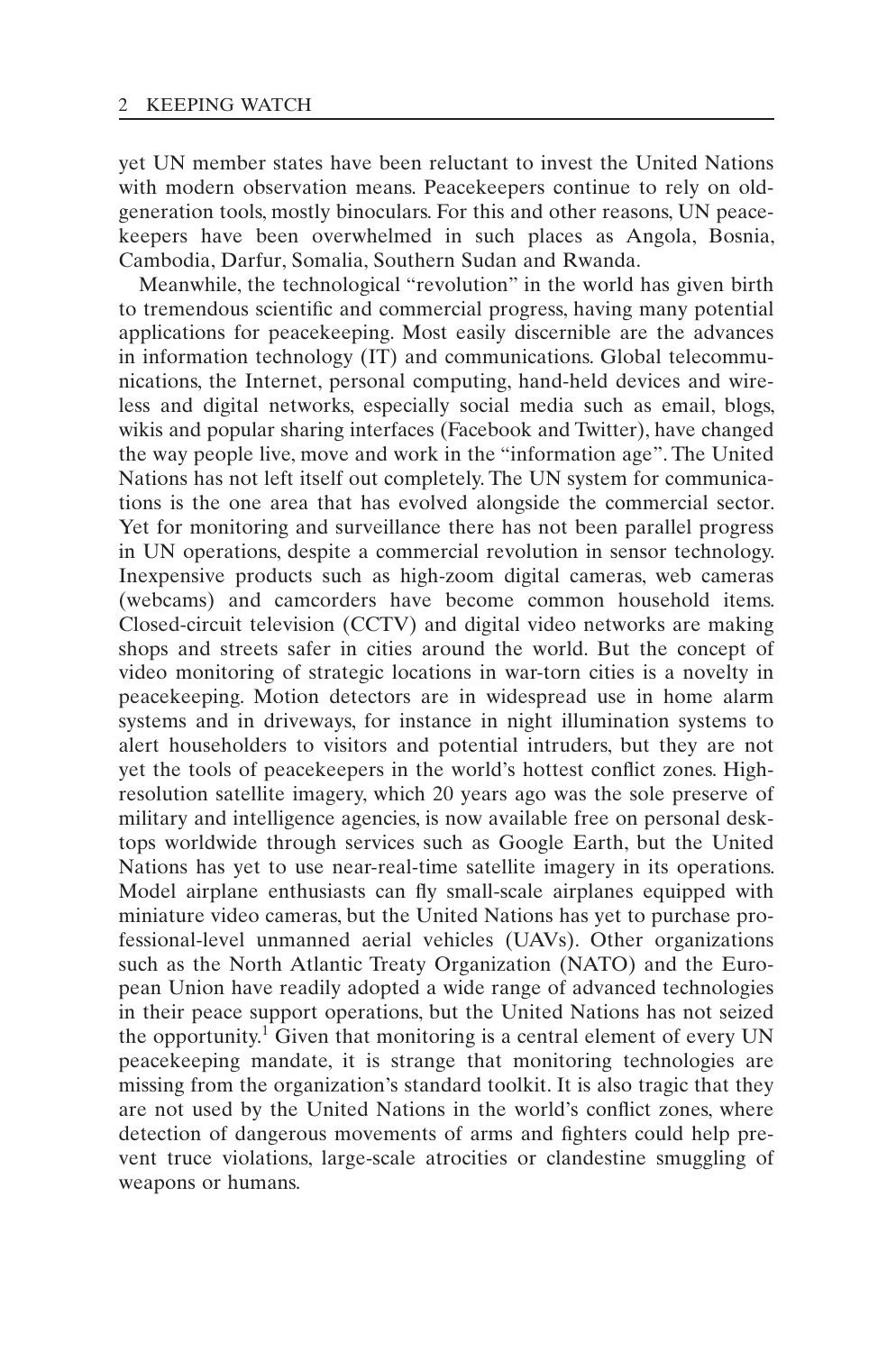yet UN member states have been reluctant to invest the United Nations with modern observation means. Peacekeepers continue to rely on oldgeneration tools, mostly binoculars. For this and other reasons, UN peacekeepers have been overwhelmed in such places as Angola, Bosnia, Cambodia, Darfur, Somalia, Southern Sudan and Rwanda.

Meanwhile, the technological "revolution" in the world has given birth to tremendous scientific and commercial progress, having many potential applications for peacekeeping. Most easily discernible are the advances in information technology (IT) and communications. Global telecommunications, the Internet, personal computing, hand-held devices and wireless and digital networks, especially social media such as email, blogs, wikis and popular sharing interfaces (Facebook and Twitter), have changed the way people live, move and work in the "information age". The United Nations has not left itself out completely. The UN system for communications is the one area that has evolved alongside the commercial sector. Yet for monitoring and surveillance there has not been parallel progress in UN operations, despite a commercial revolution in sensor technology. Inexpensive products such as high-zoom digital cameras, web cameras (webcams) and camcorders have become common household items. Closed-circuit television (CCTV) and digital video networks are making shops and streets safer in cities around the world. But the concept of video monitoring of strategic locations in war-torn cities is a novelty in peacekeeping. Motion detectors are in widespread use in home alarm systems and in driveways, for instance in night illumination systems to alert householders to visitors and potential intruders, but they are not yet the tools of peacekeepers in the world's hottest conflict zones. Highresolution satellite imagery, which 20 years ago was the sole preserve of military and intelligence agencies, is now available free on personal desktops worldwide through services such as Google Earth, but the United Nations has yet to use near-real-time satellite imagery in its operations. Model airplane enthusiasts can fly small-scale airplanes equipped with miniature video cameras, but the United Nations has yet to purchase professional-level unmanned aerial vehicles (UAVs). Other organizations such as the North Atlantic Treaty Organization (NATO) and the European Union have readily adopted a wide range of advanced technologies in their peace support operations, but the United Nations has not seized the opportunity.<sup>1</sup> Given that monitoring is a central element of every UN peacekeeping mandate, it is strange that monitoring technologies are missing from the organization's standard toolkit. It is also tragic that they are not used by the United Nations in the world's conflict zones, where detection of dangerous movements of arms and fighters could help prevent truce violations, large-scale atrocities or clandestine smuggling of weapons or humans.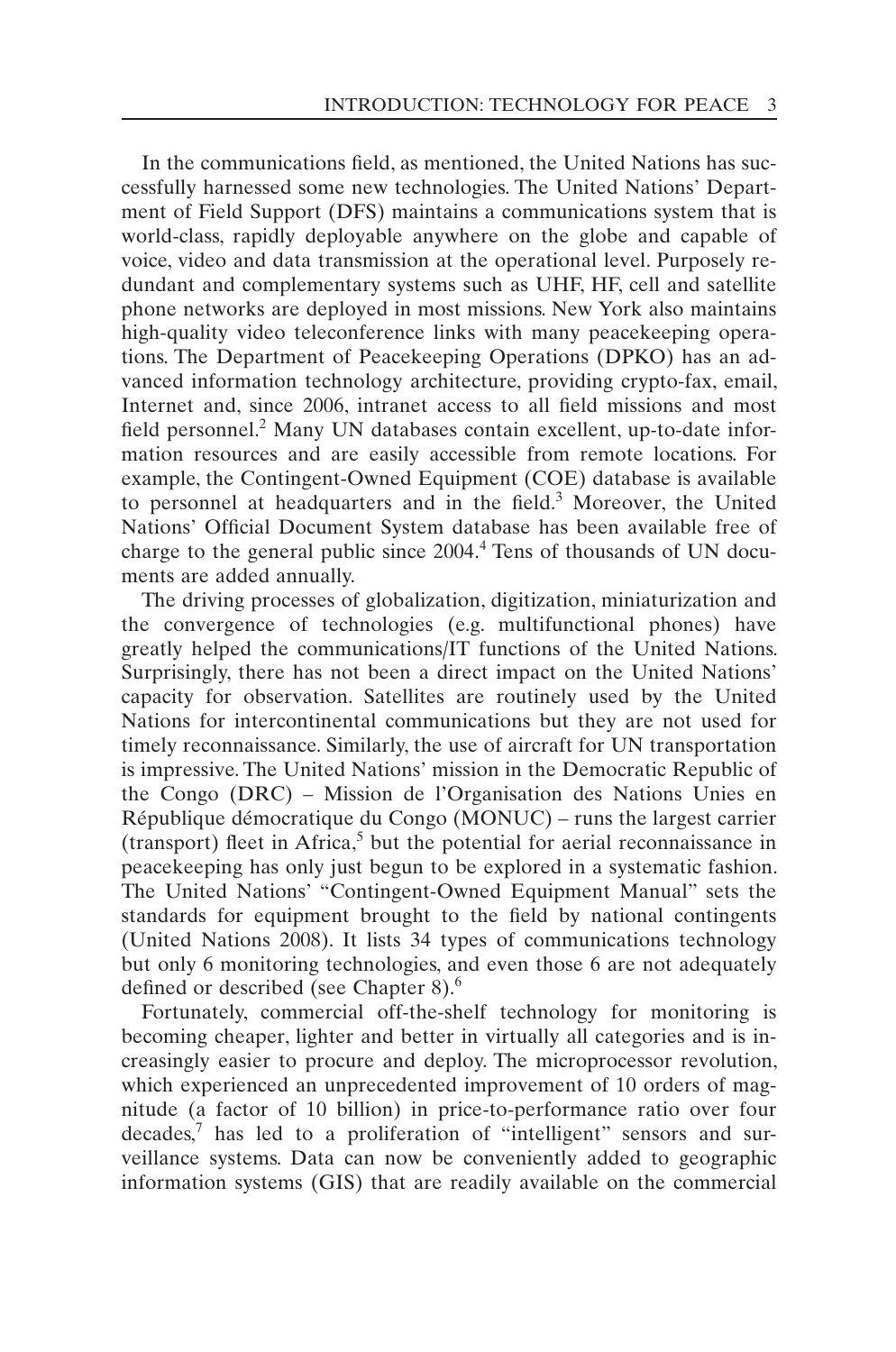In the communications field, as mentioned, the United Nations has successfully harnessed some new technologies. The United Nations' Department of Field Support (DFS) maintains a communications system that is world-class, rapidly deployable anywhere on the globe and capable of voice, video and data transmission at the operational level. Purposely redundant and complementary systems such as UHF, HF, cell and satellite phone networks are deployed in most missions. New York also maintains high-quality video teleconference links with many peacekeeping operations. The Department of Peacekeeping Operations (DPKO) has an advanced information technology architecture, providing crypto-fax, email, Internet and, since 2006, intranet access to all field missions and most field personnel.<sup>2</sup> Many UN databases contain excellent, up-to-date information resources and are easily accessible from remote locations. For example, the Contingent-Owned Equipment (COE) database is available to personnel at headquarters and in the field.<sup>3</sup> Moreover, the United Nations' Official Document System database has been available free of charge to the general public since 2004.<sup>4</sup> Tens of thousands of UN documents are added annually.

The driving processes of globalization, digitization, miniaturization and the convergence of technologies (e.g. multifunctional phones) have greatly helped the communications/IT functions of the United Nations. Surprisingly, there has not been a direct impact on the United Nations' capacity for observation. Satellites are routinely used by the United Nations for intercontinental communications but they are not used for timely reconnaissance. Similarly, the use of aircraft for UN transportation is impressive. The United Nations' mission in the Democratic Republic of the Congo (DRC) – Mission de l'Organisation des Nations Unies en République démocratique du Congo (MONUC) – runs the largest carrier  $(transport)$  fleet in Africa,<sup>5</sup> but the potential for aerial reconnaissance in peacekeeping has only just begun to be explored in a systematic fashion. The United Nations' "Contingent-Owned Equipment Manual" sets the standards for equipment brought to the field by national contingents (United Nations 2008). It lists 34 types of communications technology but only 6 monitoring technologies, and even those 6 are not adequately defined or described (see Chapter 8).<sup>6</sup>

Fortunately, commercial off-the-shelf technology for monitoring is becoming cheaper, lighter and better in virtually all categories and is increasingly easier to procure and deploy. The microprocessor revolution, which experienced an unprecedented improvement of 10 orders of magnitude (a factor of 10 billion) in price-to-performance ratio over four decades,<sup>7</sup> has led to a proliferation of "intelligent" sensors and surveillance systems. Data can now be conveniently added to geographic information systems (GIS) that are readily available on the commercial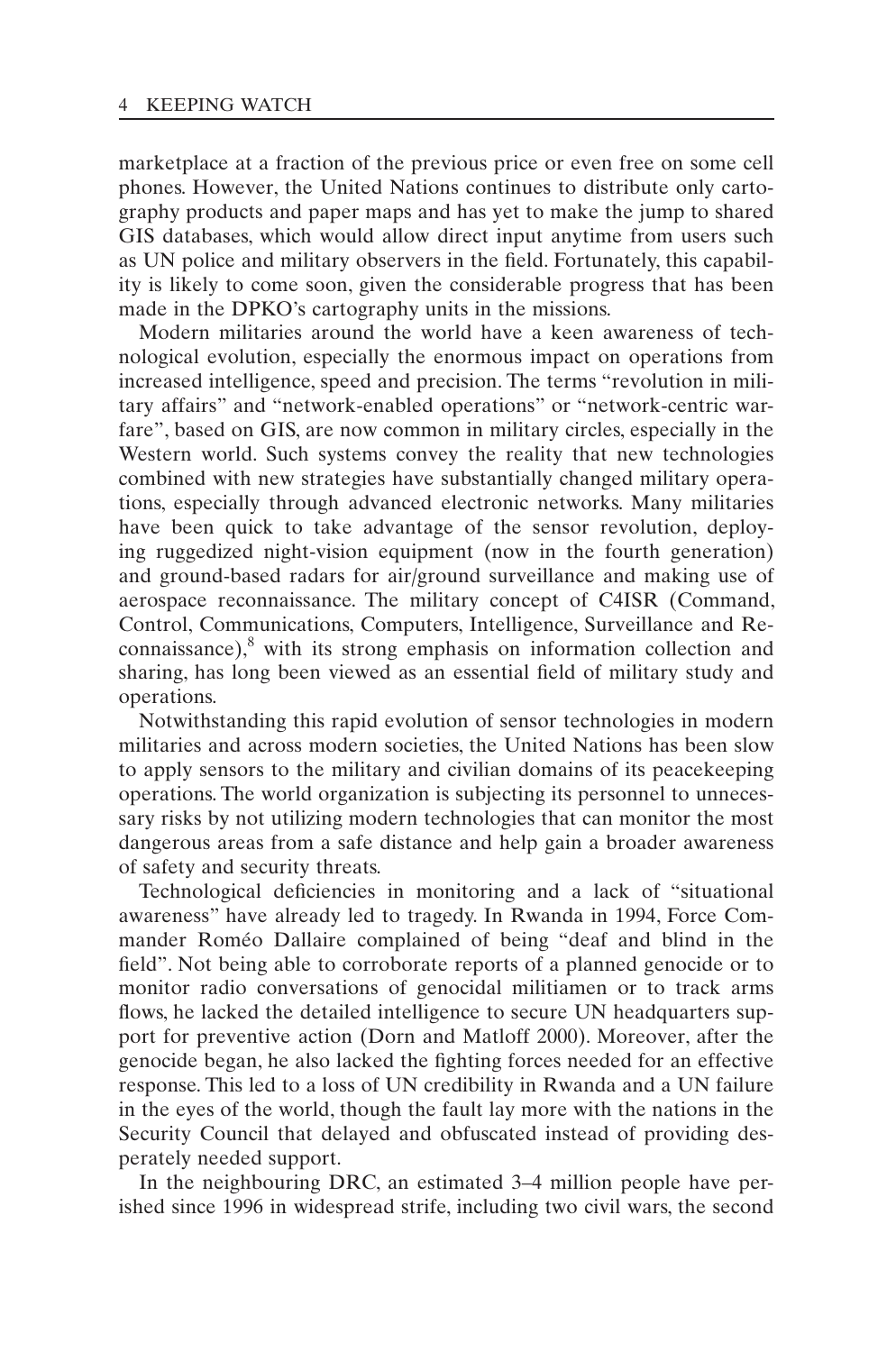marketplace at a fraction of the previous price or even free on some cell phones. However, the United Nations continues to distribute only cartography products and paper maps and has yet to make the jump to shared GIS databases, which would allow direct input anytime from users such as UN police and military observers in the field. Fortunately, this capability is likely to come soon, given the considerable progress that has been made in the DPKO's cartography units in the missions.

Modern militaries around the world have a keen awareness of technological evolution, especially the enormous impact on operations from increased intelligence, speed and precision. The terms "revolution in military affairs" and "network-enabled operations" or "network-centric warfare", based on GIS, are now common in military circles, especially in the Western world. Such systems convey the reality that new technologies combined with new strategies have substantially changed military operations, especially through advanced electronic networks. Many militaries have been quick to take advantage of the sensor revolution, deploying ruggedized night-vision equipment (now in the fourth generation) and ground-based radars for air/ground surveillance and making use of aerospace reconnaissance. The military concept of C4ISR (Command, Control, Communications, Computers, Intelligence, Surveillance and Re $f_{\text{com}}$  connaissance), $8$  with its strong emphasis on information collection and sharing, has long been viewed as an essential field of military study and operations.

Notwithstanding this rapid evolution of sensor technologies in modern militaries and across modern societies, the United Nations has been slow to apply sensors to the military and civilian domains of its peacekeeping operations. The world organization is subjecting its personnel to unnecessary risks by not utilizing modern technologies that can monitor the most dangerous areas from a safe distance and help gain a broader awareness of safety and security threats.

Technological deficiencies in monitoring and a lack of "situational awareness" have already led to tragedy. In Rwanda in 1994, Force Commander Roméo Dallaire complained of being "deaf and blind in the field". Not being able to corroborate reports of a planned genocide or to monitor radio conversations of genocidal militiamen or to track arms flows, he lacked the detailed intelligence to secure UN headquarters support for preventive action (Dorn and Matloff 2000). Moreover, after the genocide began, he also lacked the fighting forces needed for an effective response. This led to a loss of UN credibility in Rwanda and a UN failure in the eyes of the world, though the fault lay more with the nations in the Security Council that delayed and obfuscated instead of providing desperately needed support.

In the neighbouring DRC, an estimated 3–4 million people have perished since 1996 in widespread strife, including two civil wars, the second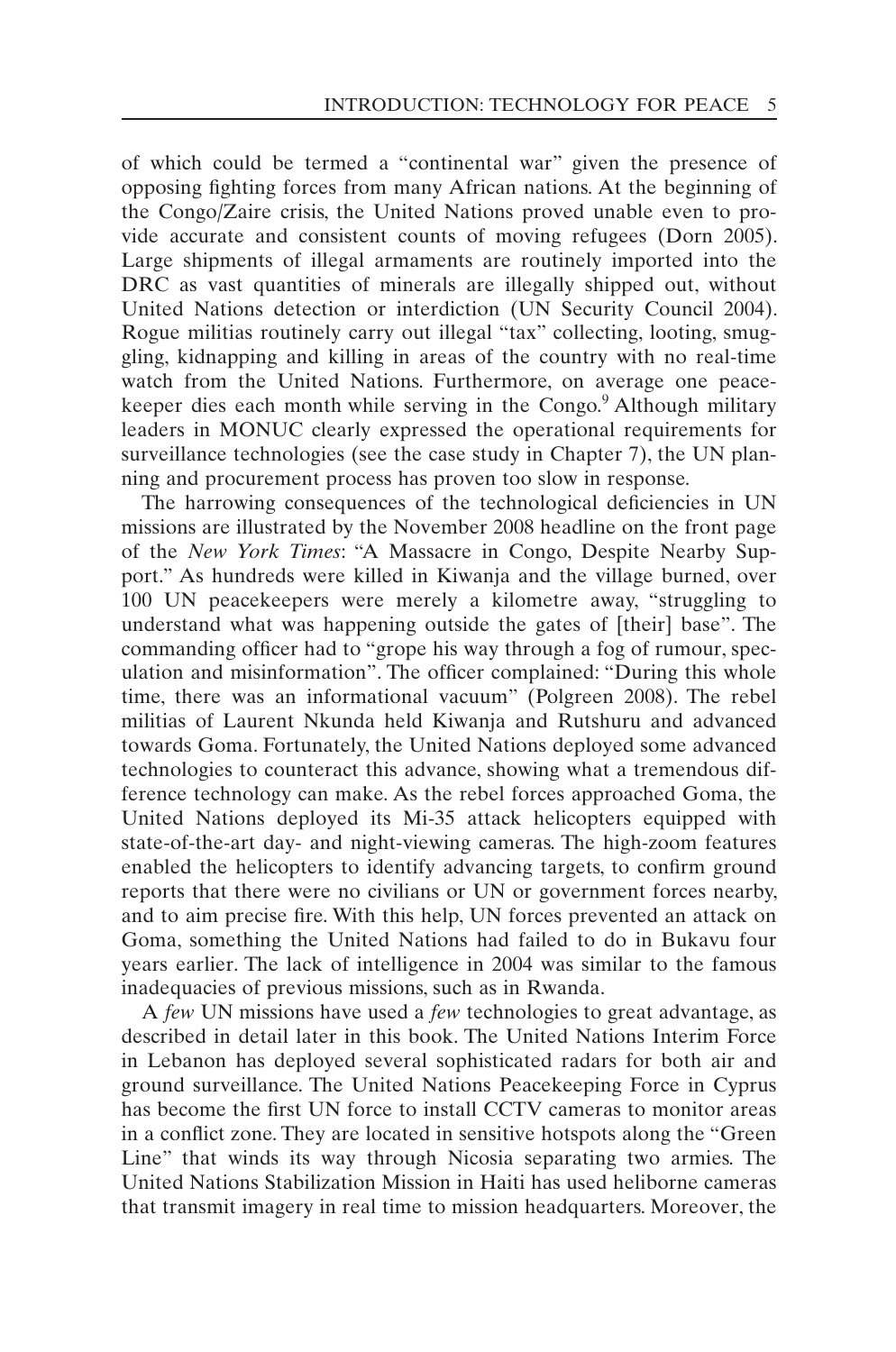of which could be termed a "continental war" given the presence of opposing fighting forces from many African nations. At the beginning of the Congo/Zaire crisis, the United Nations proved unable even to provide accurate and consistent counts of moving refugees (Dorn 2005). Large shipments of illegal armaments are routinely imported into the DRC as vast quantities of minerals are illegally shipped out, without United Nations detection or interdiction (UN Security Council 2004). Rogue militias routinely carry out illegal "tax" collecting, looting, smuggling, kidnapping and killing in areas of the country with no real-time watch from the United Nations. Furthermore, on average one peacekeeper dies each month while serving in the Congo.<sup>9</sup> Although military leaders in MONUC clearly expressed the operational requirements for surveillance technologies (see the case study in Chapter 7), the UN planning and procurement process has proven too slow in response.

The harrowing consequences of the technological deficiencies in UN missions are illustrated by the November 2008 headline on the front page of the *New York Times*: "A Massacre in Congo, Despite Nearby Support." As hundreds were killed in Kiwanja and the village burned, over 100 UN peacekeepers were merely a kilometre away, "struggling to understand what was happening outside the gates of [their] base". The commanding officer had to "grope his way through a fog of rumour, speculation and misinformation". The officer complained: "During this whole time, there was an informational vacuum" (Polgreen 2008). The rebel militias of Laurent Nkunda held Kiwanja and Rutshuru and advanced towards Goma. Fortunately, the United Nations deployed some advanced technologies to counteract this advance, showing what a tremendous difference technology can make. As the rebel forces approached Goma, the United Nations deployed its Mi-35 attack helicopters equipped with state-of-the-art day- and night-viewing cameras. The high-zoom features enabled the helicopters to identify advancing targets, to confirm ground reports that there were no civilians or UN or government forces nearby, and to aim precise fire. With this help, UN forces prevented an attack on Goma, something the United Nations had failed to do in Bukavu four years earlier. The lack of intelligence in 2004 was similar to the famous inadequacies of previous missions, such as in Rwanda.

A *few* UN missions have used a *few* technologies to great advantage, as described in detail later in this book. The United Nations Interim Force in Lebanon has deployed several sophisticated radars for both air and ground surveillance. The United Nations Peacekeeping Force in Cyprus has become the first UN force to install CCTV cameras to monitor areas in a conflict zone. They are located in sensitive hotspots along the "Green Line" that winds its way through Nicosia separating two armies. The United Nations Stabilization Mission in Haiti has used heliborne cameras that transmit imagery in real time to mission headquarters. Moreover, the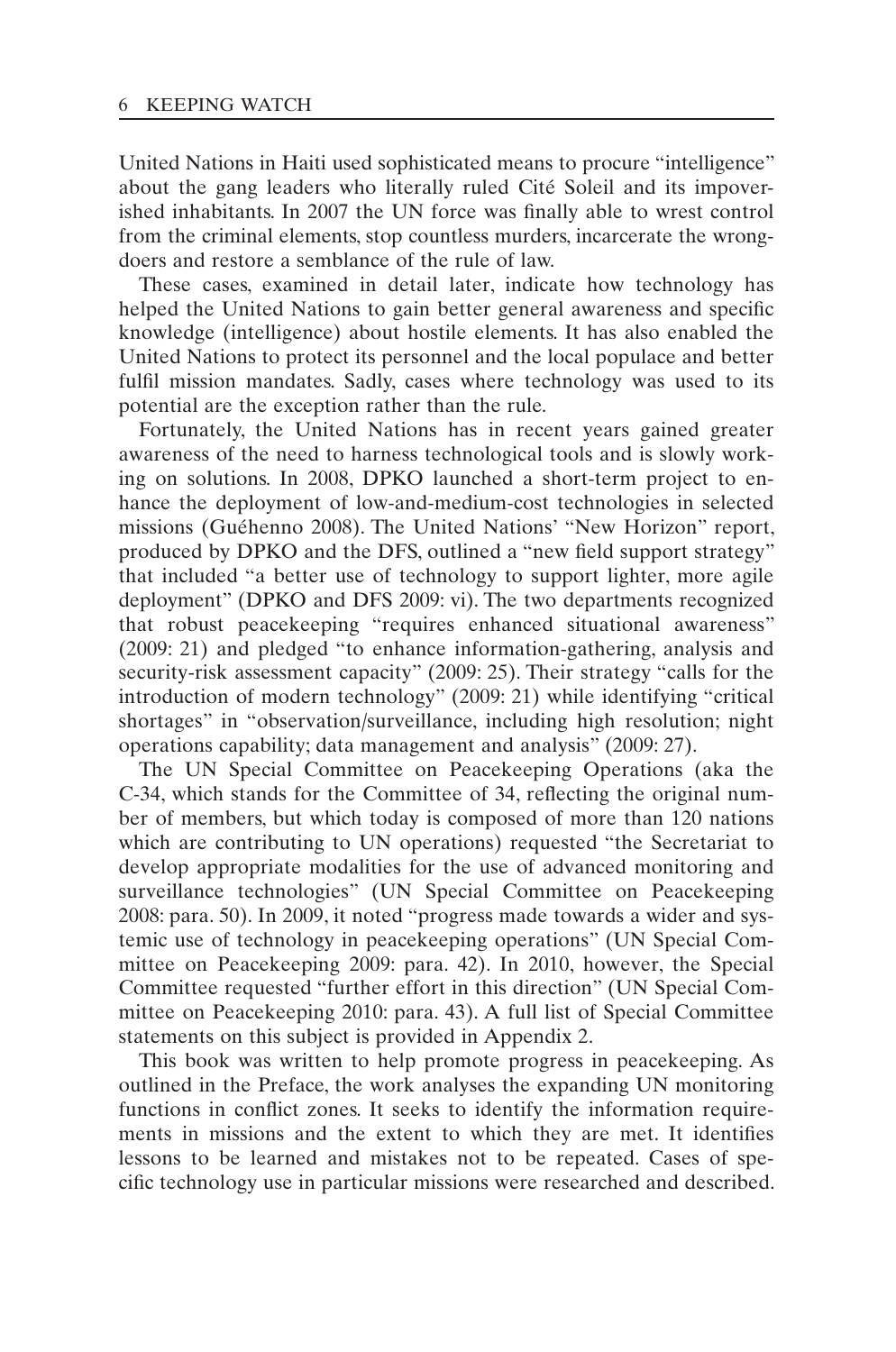United Nations in Haiti used sophisticated means to procure "intelligence" about the gang leaders who literally ruled Cité Soleil and its impoverished inhabitants. In 2007 the UN force was finally able to wrest control from the criminal elements, stop countless murders, incarcerate the wrongdoers and restore a semblance of the rule of law.

These cases, examined in detail later, indicate how technology has helped the United Nations to gain better general awareness and specific knowledge (intelligence) about hostile elements. It has also enabled the United Nations to protect its personnel and the local populace and better fulfil mission mandates. Sadly, cases where technology was used to its potential are the exception rather than the rule.

Fortunately, the United Nations has in recent years gained greater awareness of the need to harness technological tools and is slowly working on solutions. In 2008, DPKO launched a short-term project to enhance the deployment of low-and-medium-cost technologies in selected missions (Guéhenno 2008). The United Nations' "New Horizon" report, produced by DPKO and the DFS, outlined a "new field support strategy" that included "a better use of technology to support lighter, more agile deployment" (DPKO and DFS 2009: vi). The two departments recognized that robust peacekeeping "requires enhanced situational awareness" (2009: 21) and pledged "to enhance information-gathering, analysis and security-risk assessment capacity" (2009: 25). Their strategy "calls for the introduction of modern technology" (2009: 21) while identifying "critical shortages" in "observation/surveillance, including high resolution; night operations capability; data management and analysis" (2009: 27).

The UN Special Committee on Peacekeeping Operations (aka the C-34, which stands for the Committee of 34, reflecting the original number of members, but which today is composed of more than 120 nations which are contributing to UN operations) requested "the Secretariat to develop appropriate modalities for the use of advanced monitoring and surveillance technologies" (UN Special Committee on Peacekeeping 2008: para. 50). In 2009, it noted "progress made towards a wider and systemic use of technology in peacekeeping operations" (UN Special Committee on Peacekeeping 2009: para. 42). In 2010, however, the Special Committee requested "further effort in this direction" (UN Special Committee on Peacekeeping 2010: para. 43). A full list of Special Committee statements on this subject is provided in Appendix 2.

This book was written to help promote progress in peacekeeping. As outlined in the Preface, the work analyses the expanding UN monitoring functions in conflict zones. It seeks to identify the information requirements in missions and the extent to which they are met. It identifies lessons to be learned and mistakes not to be repeated. Cases of specific technology use in particular missions were researched and described.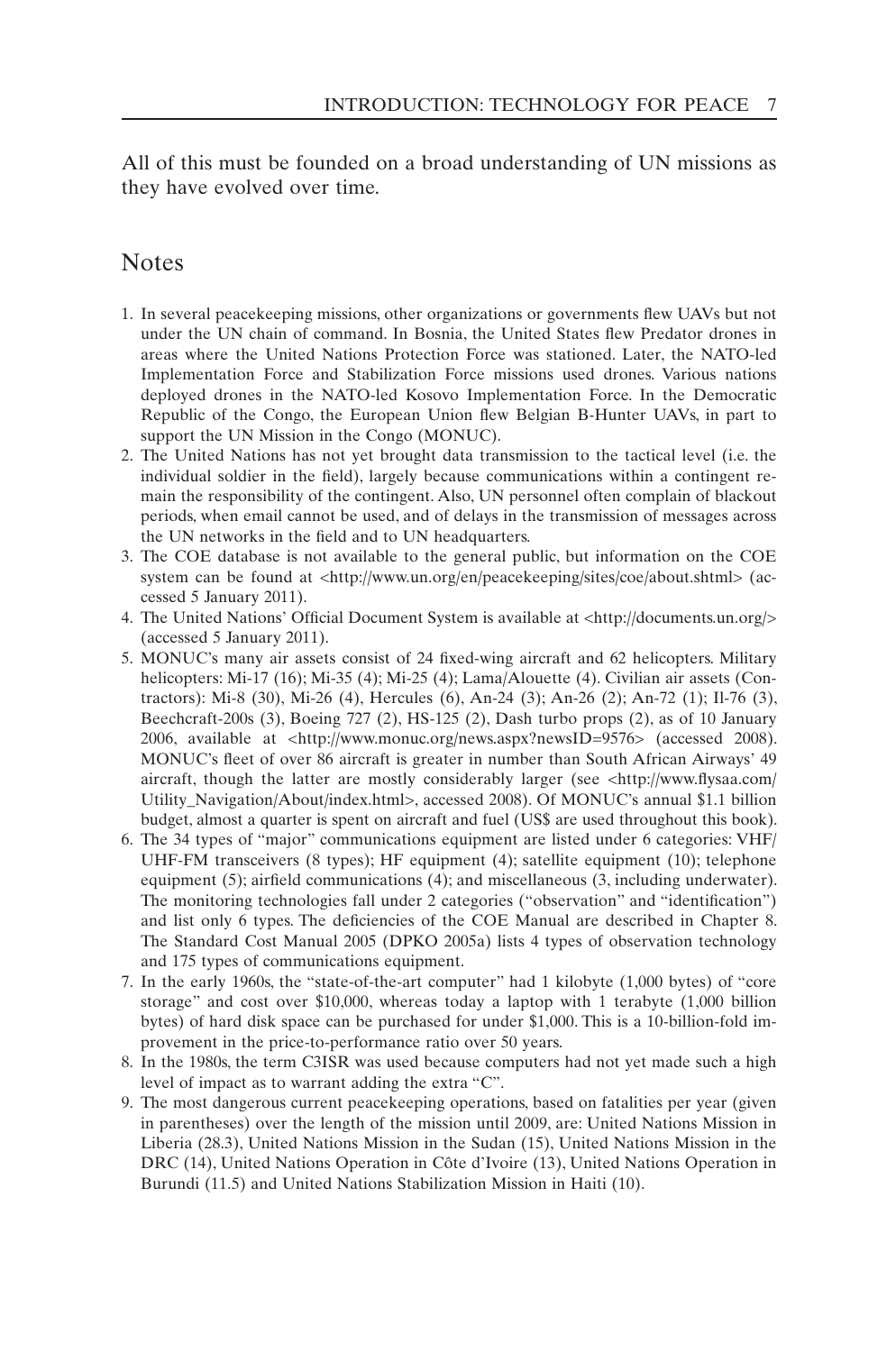All of this must be founded on a broad understanding of UN missions as they have evolved over time.

#### Notes

- 1. In several peacekeeping missions, other organizations or governments flew UAVs but not under the UN chain of command. In Bosnia, the United States flew Predator drones in areas where the United Nations Protection Force was stationed. Later, the NATO-led Implementation Force and Stabilization Force missions used drones. Various nations deployed drones in the NATO-led Kosovo Implementation Force. In the Democratic Republic of the Congo, the European Union flew Belgian B-Hunter UAVs, in part to support the UN Mission in the Congo (MONUC).
- 2. The United Nations has not yet brought data transmission to the tactical level (i.e. the individual soldier in the field), largely because communications within a contingent remain the responsibility of the contingent. Also, UN personnel often complain of blackout periods, when email cannot be used, and of delays in the transmission of messages across the UN networks in the field and to UN headquarters.
- 3. The COE database is not available to the general public, but information on the COE system can be found at <http://www.un.org/en/peacekeeping/sites/coe/about.shtml> (accessed 5 January 2011).
- 4. The United Nations' Official Document System is available at <http://documents.un.org/> (accessed 5 January 2011).
- 5. MONUC's many air assets consist of 24 fixed-wing aircraft and 62 helicopters. Military helicopters: Mi-17 (16); Mi-35 (4); Mi-25 (4); Lama/Alouette (4). Civilian air assets (Contractors): Mi-8 (30), Mi-26 (4), Hercules (6), An-24 (3); An-26 (2); An-72 (1); Il-76 (3), Beechcraft-200s (3), Boeing 727 (2), HS-125 (2), Dash turbo props (2), as of 10 January 2006, available at <http://www.monuc.org/news.aspx?newsID=9576> (accessed 2008). MONUC's fleet of over 86 aircraft is greater in number than South African Airways' 49 aircraft, though the latter are mostly considerably larger (see <http://www.flysaa.com/ Utility\_Navigation/About/index.html>, accessed 2008). Of MONUC's annual \$1.1 billion budget, almost a quarter is spent on aircraft and fuel (US\$ are used throughout this book).
- 6. The 34 types of "major" communications equipment are listed under 6 categories: VHF/ UHF-FM transceivers (8 types); HF equipment (4); satellite equipment (10); telephone equipment (5); airfield communications (4); and miscellaneous (3, including underwater). The monitoring technologies fall under 2 categories ("observation" and "identification") and list only 6 types. The deficiencies of the COE Manual are described in Chapter 8. The Standard Cost Manual 2005 (DPKO 2005a) lists 4 types of observation technology and 175 types of communications equipment.
- 7. In the early 1960s, the "state-of-the-art computer" had 1 kilobyte (1,000 bytes) of "core storage" and cost over \$10,000, whereas today a laptop with 1 terabyte (1,000 billion bytes) of hard disk space can be purchased for under \$1,000. This is a 10-billion-fold improvement in the price-to-performance ratio over 50 years.
- 8. In the 1980s, the term C3ISR was used because computers had not yet made such a high level of impact as to warrant adding the extra "C".
- 9. The most dangerous current peacekeeping operations, based on fatalities per year (given in parentheses) over the length of the mission until 2009, are: United Nations Mission in Liberia (28.3), United Nations Mission in the Sudan (15), United Nations Mission in the DRC (14), United Nations Operation in Côte d'Ivoire (13), United Nations Operation in Burundi (11.5) and United Nations Stabilization Mission in Haiti (10).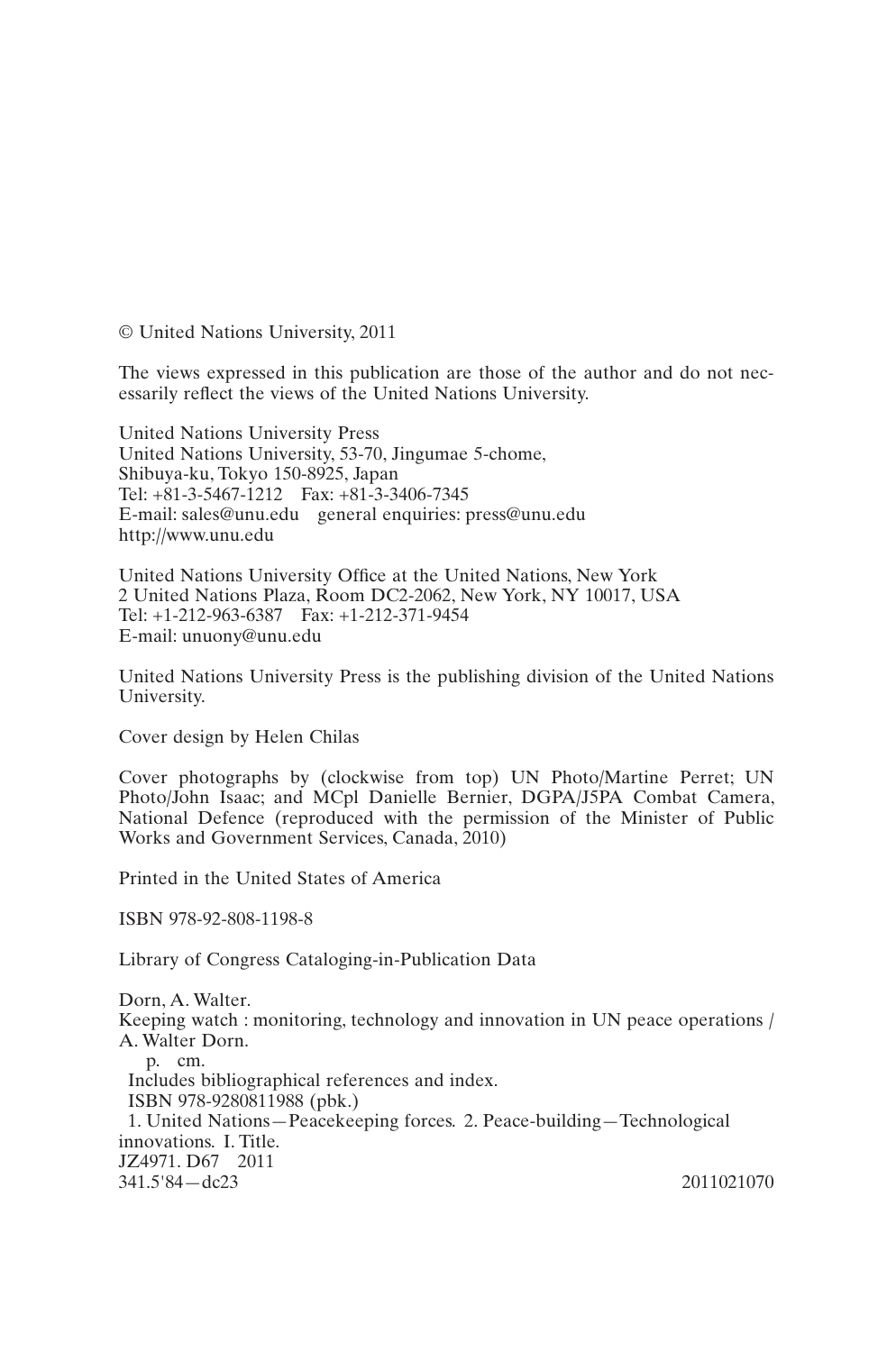© United Nations University, 2011

The views expressed in this publication are those of the author and do not necessarily reflect the views of the United Nations University.

United Nations University Press United Nations University, 53-70, Jingumae 5-chome, Shibuya-ku, Tokyo 150-8925, Japan Tel: +81-3-5467-1212 Fax: +81-3-3406-7345 E-mail: sales@unu.edu general enquiries: press@unu.edu http://www.unu.edu

United Nations University Office at the United Nations, New York 2 United Nations Plaza, Room DC2-2062, New York, NY 10017, USA Tel: +1-212-963-6387 Fax: +1-212-371-9454 E-mail: unuony@unu.edu

United Nations University Press is the publishing division of the United Nations University.

Cover design by Helen Chilas

Cover photographs by (clockwise from top) UN Photo/Martine Perret; UN Photo/John Isaac; and MCpl Danielle Bernier, DGPA/J5PA Combat Camera, National Defence (reproduced with the permission of the Minister of Public Works and Government Services, Canada, 2010)

Printed in the United States of America

ISBN 978-92-808-1198-8

Library of Congress Cataloging-in-Publication Data

Dorn, A. Walter. Keeping watch : monitoring, technology and innovation in UN peace operations / A. Walter Dorn. p. cm. Includes bibliographical references and index. ISBN 978-9280811988 (pbk.) 1. United Nations—Peacekeeping forces. 2. Peace-building—Technological innovations. I. Title. JZ4971. D67 2011 341.5'84—dc23 2011021070